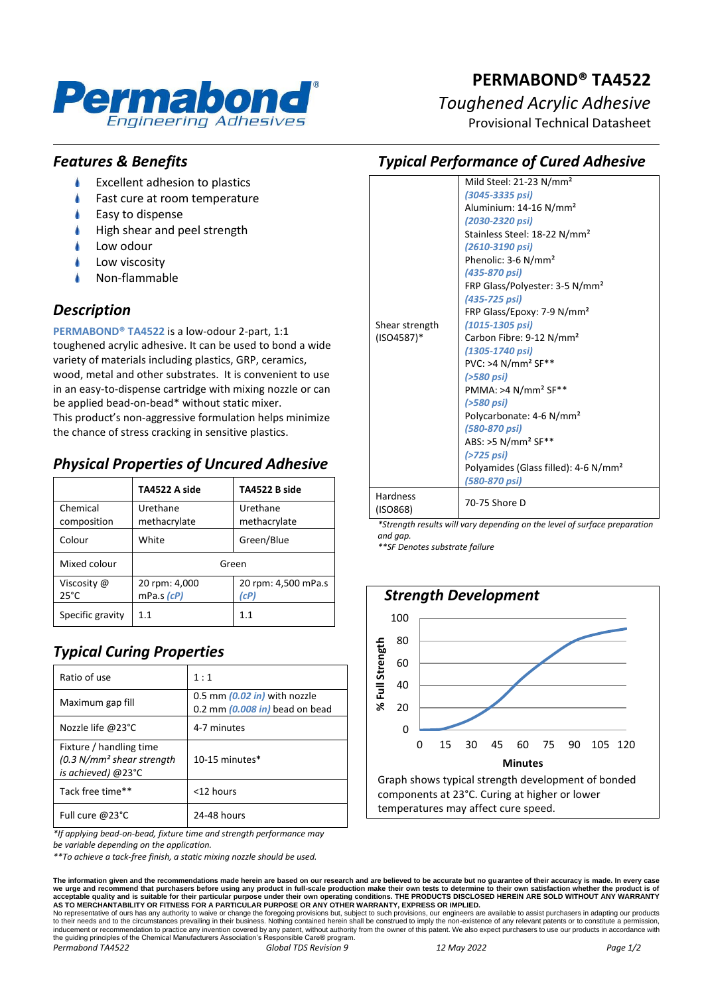

# **PERMABOND® TA4522**

## *Toughened Acrylic Adhesive*

Provisional Technical Datasheet

## *Features & Benefits*

- Ł Excellent adhesion to plastics
- Fast cure at room temperature
- Easy to dispense
- High shear and peel strength
- Low odour
- Low viscosity
- Non-flammable

## *Description*

**PERMABOND® TA4522** is a low-odour 2-part, 1:1 toughened acrylic adhesive. It can be used to bond a wide variety of materials including plastics, GRP, ceramics, wood, metal and other substrates. It is convenient to use in an easy-to-dispense cartridge with mixing nozzle or can be applied bead-on-bead\* without static mixer. This product's non-aggressive formulation helps minimize the chance of stress cracking in sensitive plastics.

## *Physical Properties of Uncured Adhesive*

|                               | TA4522 A side               | TA4522 B side               |
|-------------------------------|-----------------------------|-----------------------------|
| Chemical<br>composition       | Urethane<br>methacrylate    | Urethane<br>methacrylate    |
| Colour                        | White                       | Green/Blue                  |
| Mixed colour                  | Green                       |                             |
| Viscosity @<br>$25^{\circ}$ C | 20 rpm: 4,000<br>mPa.s (cP) | 20 rpm: 4,500 mPa.s<br>(cP) |
| Specific gravity              | 11                          | 11                          |

## *Typical Curing Properties*

| Ratio of use                                                                           | 1:1                                                            |
|----------------------------------------------------------------------------------------|----------------------------------------------------------------|
| Maximum gap fill                                                                       | 0.5 mm (0.02 in) with nozzle<br>0.2 mm (0.008 in) bead on bead |
| Nozzle life @23°C                                                                      | 4-7 minutes                                                    |
| Fixture / handling time<br>(0.3 N/mm <sup>2</sup> shear strength<br>is achieved) @23°C | $10-15$ minutes $*$                                            |
| Tack free time**                                                                       | <12 hours                                                      |
| Full cure $@23^{\circ}$ C                                                              | 24-48 hours                                                    |

*\*If applying bead-on-bead, fixture time and strength performance may* 

*be variable depending on the application.*

*\*\*To achieve a tack-free finish, a static mixing nozzle should be used.*

*Typical Performance of Cured Adhesive* Mild Steel: 21-23 N/mm² *(3045-3335 psi)*

| Shear strength<br>$(ISO4587)^*$ | Aluminium: 14-16 N/mm <sup>2</sup><br>(2030-2320 psi)<br>Stainless Steel: 18-22 N/mm <sup>2</sup><br>(2610-3190 psi)<br>Phenolic: 3-6 N/mm <sup>2</sup><br>(435-870 psi)<br>FRP Glass/Polyester: 3-5 N/mm <sup>2</sup><br>(435-725 psi)<br>FRP Glass/Epoxy: 7-9 N/mm <sup>2</sup><br>$(1015 - 1305 \text{ psi})$<br>Carbon Fibre: 9-12 N/mm <sup>2</sup><br>(1305-1740 psi)<br>$PVC: >4 N/mm2 SF**$<br>(>580 psi)<br>PMMA: >4 N/mm <sup>2</sup> SF**<br>(>580 psi)<br>Polycarbonate: 4-6 N/mm <sup>2</sup><br>(580-870 psi)<br>ABS: >5 N/mm <sup>2</sup> SF**<br>(>725 psi)<br>Polyamides (Glass filled): 4-6 N/mm <sup>2</sup><br>(580-870 psi) |
|---------------------------------|--------------------------------------------------------------------------------------------------------------------------------------------------------------------------------------------------------------------------------------------------------------------------------------------------------------------------------------------------------------------------------------------------------------------------------------------------------------------------------------------------------------------------------------------------------------------------------------------------------------------------------------------------|
| <b>Hardness</b><br>(ISO868)     | 70-75 Shore D                                                                                                                                                                                                                                                                                                                                                                                                                                                                                                                                                                                                                                    |

*\*Strength results will vary depending on the level of surface preparation and gap.*

*\*\*SF Denotes substrate failure*



The information given and the recommendations made herein are based on our research and are believed to be accurate but no guarantee of their accuracy is made. In every case<br>we urge and recommend that purchasers before usi

No representative of ours has any authority to waive or change the foregoing provisions but, subject to such provisions, our engineers are available to assist purchasers in adapting our products<br>to their needs and to the c the guiding principles of the Chemical Manufacturers Association's Responsible Care® program. *Permabond TA4522 Global TDS Revision 9 12 May 2022 Page 1/2*